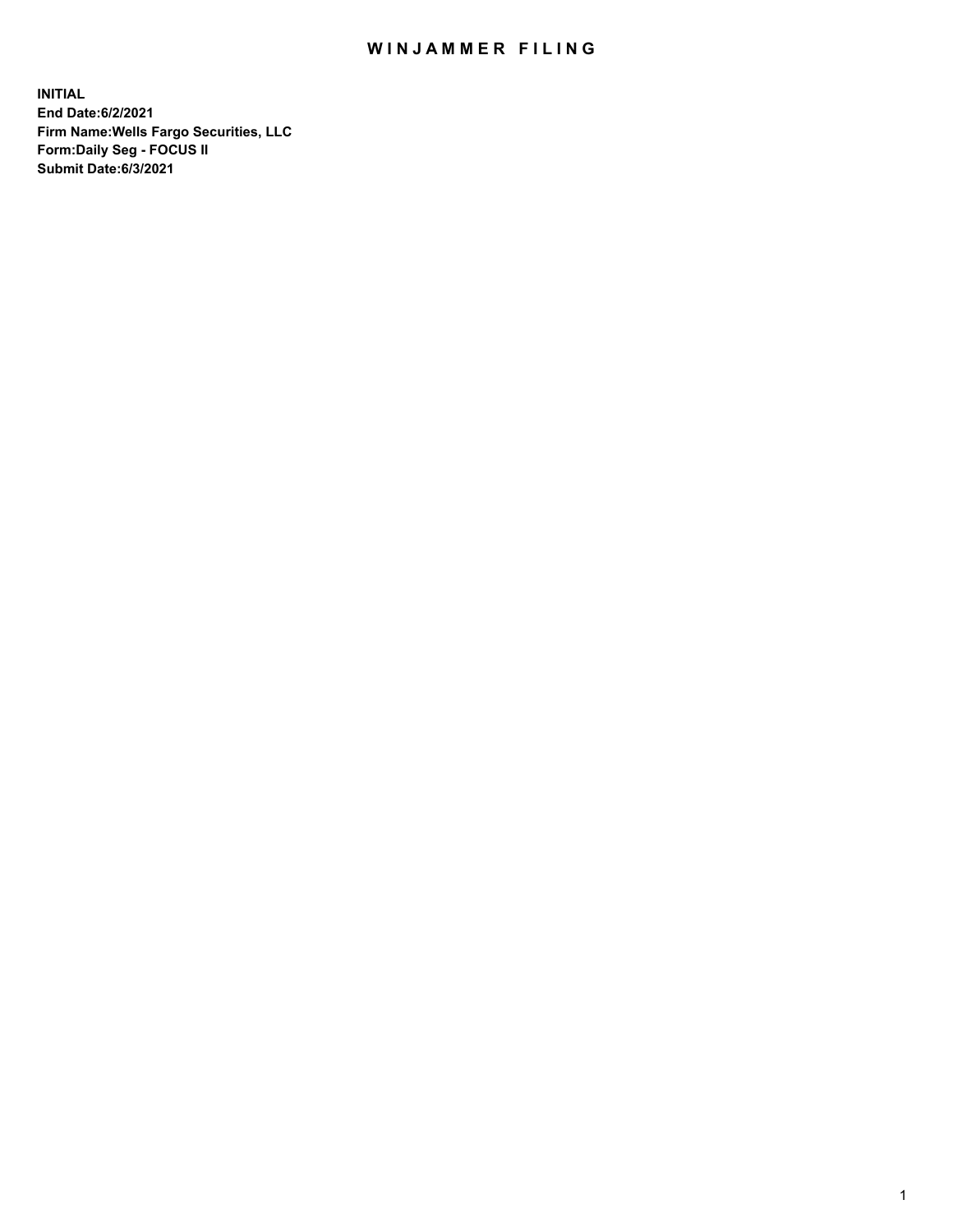## WIN JAMMER FILING

**INITIAL End Date:6/2/2021 Firm Name:Wells Fargo Securities, LLC Form:Daily Seg - FOCUS II Submit Date:6/3/2021**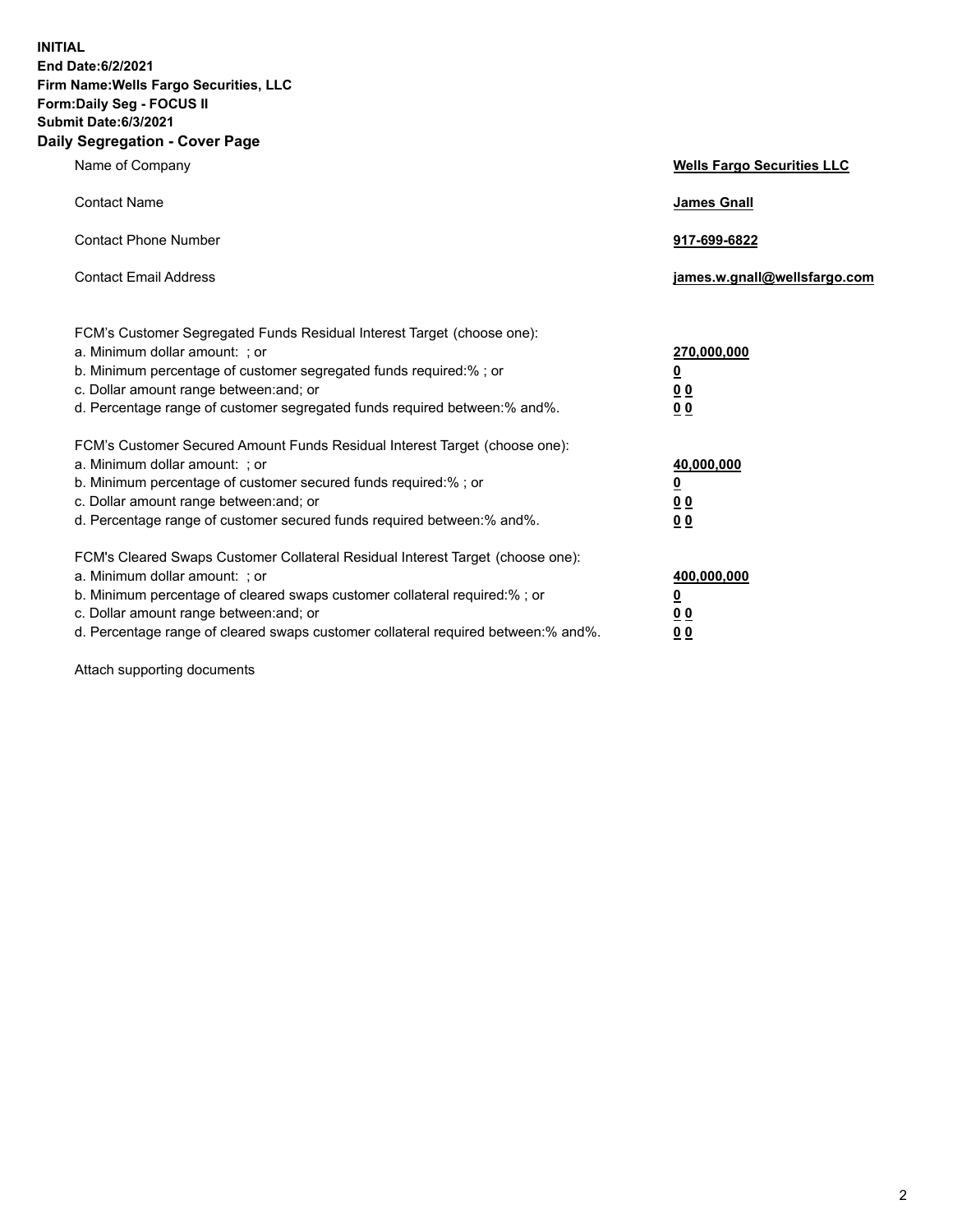**INITIAL End Date:6/2/2021 Firm Name:Wells Fargo Securities, LLC Form:Daily Seg - FOCUS II Submit Date:6/3/2021 Daily Segregation - Cover Page**

| Name of Company                                                                                                                                                                                                                                                                                                                | <b>Wells Fargo Securities LLC</b>                              |
|--------------------------------------------------------------------------------------------------------------------------------------------------------------------------------------------------------------------------------------------------------------------------------------------------------------------------------|----------------------------------------------------------------|
| <b>Contact Name</b>                                                                                                                                                                                                                                                                                                            | <b>James Gnall</b>                                             |
| <b>Contact Phone Number</b>                                                                                                                                                                                                                                                                                                    | 917-699-6822                                                   |
| <b>Contact Email Address</b>                                                                                                                                                                                                                                                                                                   | james.w.gnall@wellsfargo.com                                   |
| FCM's Customer Segregated Funds Residual Interest Target (choose one):<br>a. Minimum dollar amount: ; or<br>b. Minimum percentage of customer segregated funds required:% ; or<br>c. Dollar amount range between: and; or<br>d. Percentage range of customer segregated funds required between:% and%.                         | 270,000,000<br>$\overline{\mathbf{0}}$<br>0 <sub>0</sub><br>00 |
| FCM's Customer Secured Amount Funds Residual Interest Target (choose one):<br>a. Minimum dollar amount: ; or<br>b. Minimum percentage of customer secured funds required:% ; or<br>c. Dollar amount range between: and; or<br>d. Percentage range of customer secured funds required between:% and%.                           | 40,000,000<br><u>0</u><br>00<br>0 <sub>0</sub>                 |
| FCM's Cleared Swaps Customer Collateral Residual Interest Target (choose one):<br>a. Minimum dollar amount: ; or<br>b. Minimum percentage of cleared swaps customer collateral required:% ; or<br>c. Dollar amount range between: and; or<br>d. Percentage range of cleared swaps customer collateral required between:% and%. | 400,000,000<br><u>0</u><br>0 <sub>0</sub><br>00                |

Attach supporting documents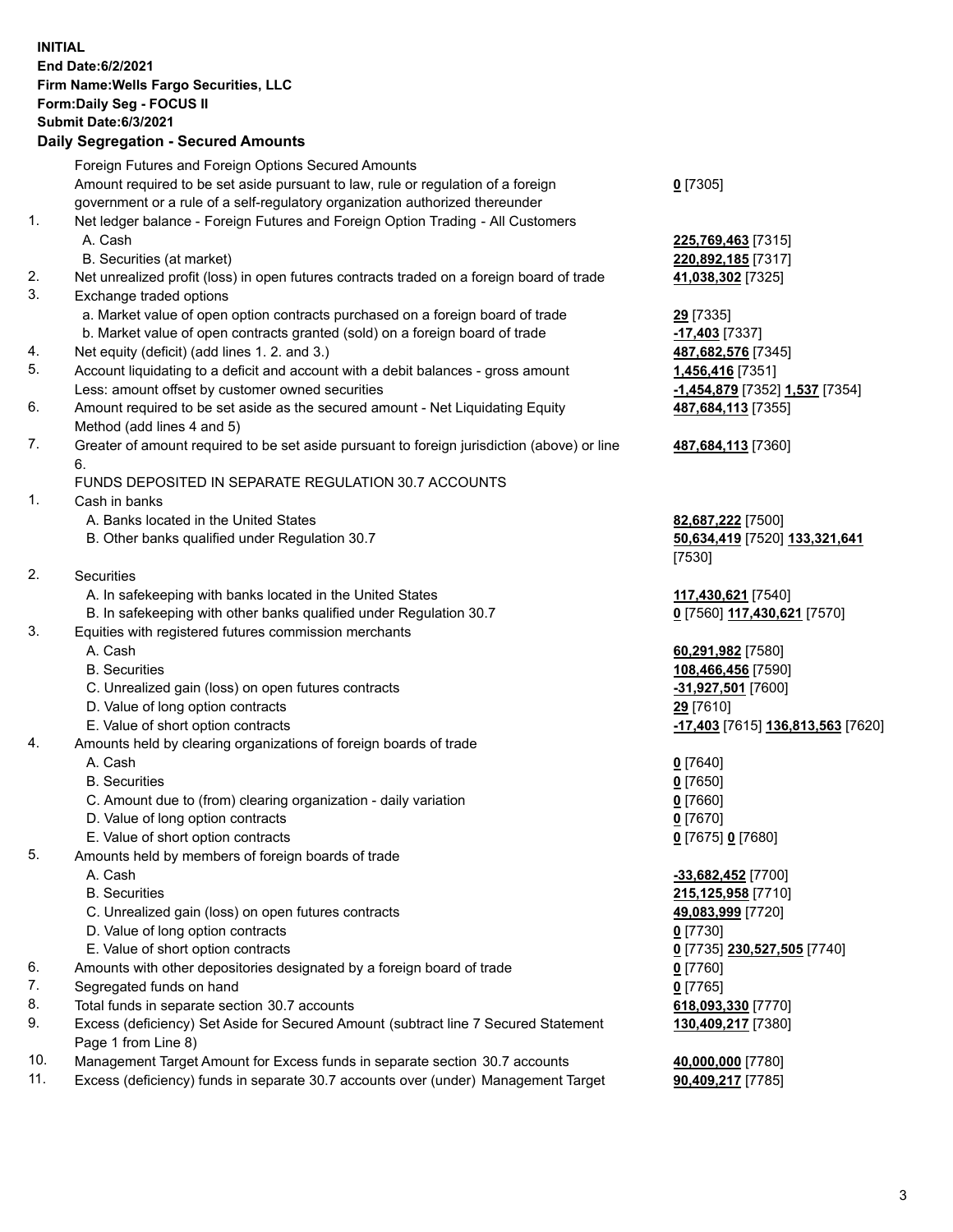**INITIAL End Date:6/2/2021 Firm Name:Wells Fargo Securities, LLC Form:Daily Seg - FOCUS II Submit Date:6/3/2021 Daily Segregation - Secured Amounts** Foreign Futures and Foreign Options Secured Amounts Amount required to be set aside pursuant to law, rule or regulation of a foreign government or a rule of a self-regulatory organization authorized thereunder 1. Net ledger balance - Foreign Futures and Foreign Option Trading - All Customers A. Cash **225,769,463** [7315] B. Securities (at market) **220,892,185** [7317] 2. Net unrealized profit (loss) in open futures contracts traded on a foreign board of trade **41,038,302** [7325] 3. Exchange traded options a. Market value of open option contracts purchased on a foreign board of trade **29** [7335] b. Market value of open contracts granted (sold) on a foreign board of trade **-17,403** [7337] 4. Net equity (deficit) (add lines 1. 2. and 3.) **487,682,576** [7345] 5. Account liquidating to a deficit and account with a debit balances - gross amount **1,456,416** [7351] Less: amount offset by customer owned securities **-1,454,879** [7352] **1,537** [7354] 6. Amount required to be set aside as the secured amount - Net Liquidating Equity Method (add lines 4 and 5) 7. Greater of amount required to be set aside pursuant to foreign jurisdiction (above) or line 6.

## FUNDS DEPOSITED IN SEPARATE REGULATION 30.7 ACCOUNTS

1. Cash in banks

- A. Banks located in the United States **82,687,222** [7500]
- B. Other banks qualified under Regulation 30.7 **50,634,419** [7520] **133,321,641**
- 2. Securities
	- A. In safekeeping with banks located in the United States **117,430,621** [7540]
- B. In safekeeping with other banks qualified under Regulation 30.7 **0** [7560] **117,430,621** [7570]
- 3. Equities with registered futures commission merchants
	-
	-
	- C. Unrealized gain (loss) on open futures contracts **-31,927,501** [7600]
	- D. Value of long option contracts **29** [7610]
	-
- 4. Amounts held by clearing organizations of foreign boards of trade

## A. Cash **0** [7640]

- B. Securities **0** [7650]
- C. Amount due to (from) clearing organization daily variation **0** [7660]
- D. Value of long option contracts **0** [7670]
- E. Value of short option contracts **0** [7675] **0** [7680]
- 5. Amounts held by members of foreign boards of trade
	-
	-
	- C. Unrealized gain (loss) on open futures contracts **49,083,999** [7720]
	- D. Value of long option contracts **0** [7730]
	- E. Value of short option contracts **0** [7735] **230,527,505** [7740]
- 6. Amounts with other depositories designated by a foreign board of trade **0** [7760]
- 7. Segregated funds on hand **0** [7765]
- 8. Total funds in separate section 30.7 accounts **618,093,330** [7770]
- 9. Excess (deficiency) Set Aside for Secured Amount (subtract line 7 Secured Statement Page 1 from Line 8)
- 10. Management Target Amount for Excess funds in separate section 30.7 accounts **40,000,000** [7780]
- 11. Excess (deficiency) funds in separate 30.7 accounts over (under) Management Target **90,409,217** [7785]

**0** [7305]

**487,684,113** [7355]

## **487,684,113** [7360]

[7530]

 A. Cash **60,291,982** [7580] B. Securities **108,466,456** [7590] E. Value of short option contracts **-17,403** [7615] **136,813,563** [7620]

 A. Cash **-33,682,452** [7700] B. Securities **215,125,958** [7710] **130,409,217** [7380]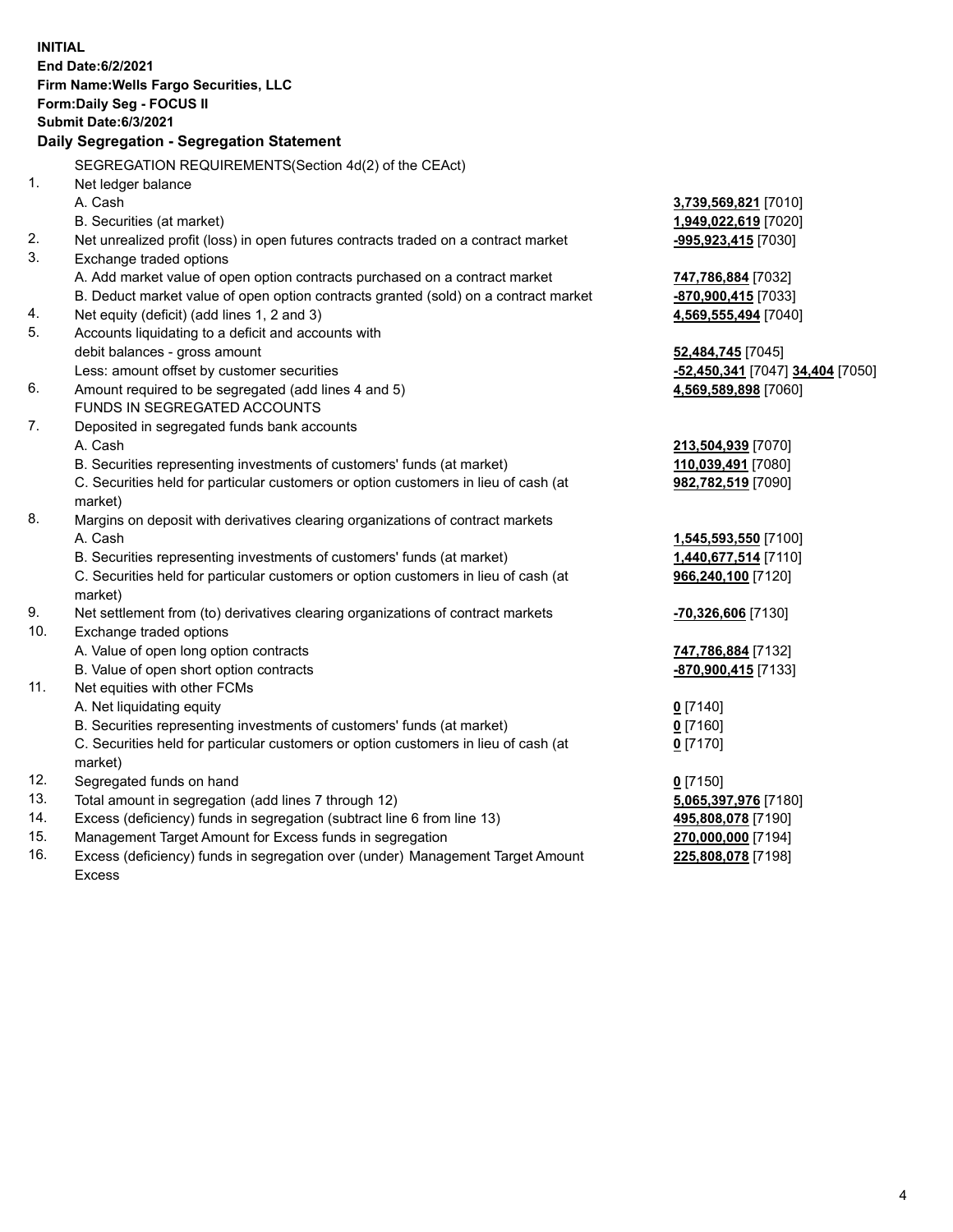|            | <b>INITIAL</b><br>End Date: 6/2/2021<br>Firm Name: Wells Fargo Securities, LLC<br>Form: Daily Seg - FOCUS II<br><b>Submit Date:6/3/2021</b> |                                          |
|------------|---------------------------------------------------------------------------------------------------------------------------------------------|------------------------------------------|
|            | Daily Segregation - Segregation Statement                                                                                                   |                                          |
|            | SEGREGATION REQUIREMENTS(Section 4d(2) of the CEAct)                                                                                        |                                          |
| 1.         | Net ledger balance                                                                                                                          |                                          |
|            | A. Cash                                                                                                                                     | 3,739,569,821 [7010]                     |
|            | B. Securities (at market)                                                                                                                   | 1,949,022,619 [7020]                     |
| 2.<br>3.   | Net unrealized profit (loss) in open futures contracts traded on a contract market                                                          | -995,923,415 [7030]                      |
|            | Exchange traded options                                                                                                                     |                                          |
|            | A. Add market value of open option contracts purchased on a contract market                                                                 | 747,786,884 [7032]                       |
| 4.         | B. Deduct market value of open option contracts granted (sold) on a contract market                                                         | -870,900,415 [7033]                      |
| 5.         | Net equity (deficit) (add lines 1, 2 and 3)<br>Accounts liquidating to a deficit and accounts with                                          | 4,569,555,494 [7040]                     |
|            | debit balances - gross amount                                                                                                               | 52,484,745 [7045]                        |
|            | Less: amount offset by customer securities                                                                                                  | -52,450,341 [7047] 34,404 [7050]         |
| 6.         | Amount required to be segregated (add lines 4 and 5)                                                                                        | 4,569,589,898 [7060]                     |
|            | FUNDS IN SEGREGATED ACCOUNTS                                                                                                                |                                          |
| 7.         | Deposited in segregated funds bank accounts                                                                                                 |                                          |
|            | A. Cash                                                                                                                                     | 213,504,939 [7070]                       |
|            | B. Securities representing investments of customers' funds (at market)                                                                      | 110,039,491 [7080]                       |
|            | C. Securities held for particular customers or option customers in lieu of cash (at                                                         | 982,782,519 [7090]                       |
|            | market)                                                                                                                                     |                                          |
| 8.         | Margins on deposit with derivatives clearing organizations of contract markets                                                              |                                          |
|            | A. Cash                                                                                                                                     | 1,545,593,550 [7100]                     |
|            | B. Securities representing investments of customers' funds (at market)                                                                      | 1,440,677,514 [7110]                     |
|            | C. Securities held for particular customers or option customers in lieu of cash (at                                                         | 966,240,100 [7120]                       |
|            | market)                                                                                                                                     |                                          |
| 9.         | Net settlement from (to) derivatives clearing organizations of contract markets                                                             | <b>-70,326,606</b> [7130]                |
| 10.        | Exchange traded options                                                                                                                     |                                          |
|            | A. Value of open long option contracts                                                                                                      | 747,786,884 [7132]                       |
|            | B. Value of open short option contracts                                                                                                     | -870,900,415 [7133]                      |
| 11.        | Net equities with other FCMs                                                                                                                |                                          |
|            | A. Net liquidating equity                                                                                                                   | $0$ [7140]                               |
|            | B. Securities representing investments of customers' funds (at market)                                                                      | $0$ [7160]                               |
|            | C. Securities held for particular customers or option customers in lieu of cash (at                                                         | $0$ [7170]                               |
|            | market)                                                                                                                                     |                                          |
| 12.        | Segregated funds on hand                                                                                                                    | $0$ [7150]                               |
| 13.<br>14. | Total amount in segregation (add lines 7 through 12)                                                                                        | 5,065,397,976 [7180]                     |
| 15.        | Excess (deficiency) funds in segregation (subtract line 6 from line 13)<br>Management Target Amount for Excess funds in segregation         | 495,808,078 [7190]                       |
| 16.        | Excess (deficiency) funds in segregation over (under) Management Target Amount                                                              | 270,000,000 [7194]<br>225,808,078 [7198] |
|            | Excess                                                                                                                                      |                                          |
|            |                                                                                                                                             |                                          |